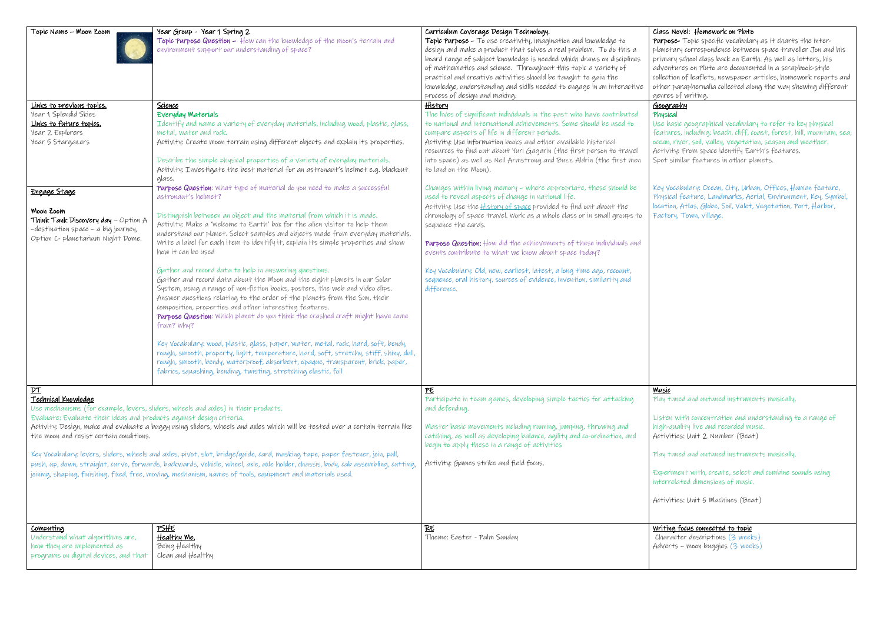| Topic Name - Moon Zoom                                                                                                                                                  | Year Group - Year 1 Spring 2                                                                                                     | Curriculum Coverage Design Technology.                                   | Class                            |
|-------------------------------------------------------------------------------------------------------------------------------------------------------------------------|----------------------------------------------------------------------------------------------------------------------------------|--------------------------------------------------------------------------|----------------------------------|
|                                                                                                                                                                         | Topic Purpose Question - How can the knowledge of the moon's terrain and                                                         | Topic Purpose - To use creativity, imagination and knowledge to          | Purp                             |
|                                                                                                                                                                         | environment support our understanding of space?                                                                                  | design and make a product that solves a real problem. To do this a       | plane                            |
|                                                                                                                                                                         |                                                                                                                                  | board range of subject knowledge is needed which draws on disciplines    | prim                             |
|                                                                                                                                                                         |                                                                                                                                  | of mathematics and science. Throughout this topic a variety of           | adve                             |
|                                                                                                                                                                         |                                                                                                                                  | practical and creative activities should be taught to gain the           | $\mathcal{C}$ olle $\mathcal{C}$ |
|                                                                                                                                                                         |                                                                                                                                  | knowledge, understanding and skills needed to engage in an interactive   | othe                             |
|                                                                                                                                                                         |                                                                                                                                  | process of design and making.                                            | genri                            |
| Links to previous topics.                                                                                                                                               | Science                                                                                                                          | History                                                                  | Geog                             |
| Year 1 Splendid Skies                                                                                                                                                   | Everyday Materials                                                                                                               | The lives of significant individuals in the past who have contributed    | Phys                             |
| Links to future topics.                                                                                                                                                 | Identify and name a variety of everyday materials, including wood, plastic, glass,                                               | to national and international achievements, Some should be used to       | Use I                            |
| Year 2 Explorers                                                                                                                                                        | metal, water and rock.                                                                                                           | compare aspects of life in different periods.                            | feat                             |
| Year 5 Stargazers                                                                                                                                                       | Activity: Create moon terrain using different objects and explain its properties.                                                | Activity: Use information books and other available historical           | oceal                            |
|                                                                                                                                                                         |                                                                                                                                  | resources to find out about Yuri Gagarin (the first person to travel     | Activ                            |
|                                                                                                                                                                         | Describe the simple physical properties of a variety of everyday materials.                                                      | into space) as well as Neil Armstrong and Buzz Aldrin (the first men     | Spot                             |
|                                                                                                                                                                         | Activity: Investigate the best material for an astronaut's helmet e.g. blackout                                                  | to land on the Moon).                                                    |                                  |
|                                                                                                                                                                         | glass.                                                                                                                           |                                                                          |                                  |
|                                                                                                                                                                         | Purpose Question: What type of material do you need to make a successful                                                         | Changes within living memory - where appropriate, these should be        | Key \                            |
| Engage Stage                                                                                                                                                            | astronaut's helmet?                                                                                                              | used to reveal aspects of change in national life.                       | Phys                             |
|                                                                                                                                                                         |                                                                                                                                  | Activity: Use the <b>History of space</b> provided to find out about the | locat                            |
| Moon Zoom                                                                                                                                                               | Distinguish between an object and the material from which it is made.                                                            | chronology of space travel. Work as a whole class or in small groups to  | Fact                             |
| Think Tank Discovery day $-$ Option A                                                                                                                                   | Activity: Make a 'welcome to Earth' box for the alien visitor to help them                                                       | sequence the cards.                                                      |                                  |
| -destination space - a big journey,                                                                                                                                     | understand our planet. Select samples and objects made from everyday materials.                                                  |                                                                          |                                  |
| Option C- planetarium Night Dome.                                                                                                                                       | Write a label for each item to identify it, explain its simple properties and show                                               | Purpose Question: How did the achievements of these individuals and      |                                  |
|                                                                                                                                                                         | how it can be used                                                                                                               | events contribute to what we know about space today?                     |                                  |
|                                                                                                                                                                         |                                                                                                                                  |                                                                          |                                  |
|                                                                                                                                                                         | Gather and record data to help in answering questions.                                                                           | Key Vocabulary: Old, new, earliest, latest, a long time ago, recount,    |                                  |
|                                                                                                                                                                         | Gather and record data about the Moon and the eight planets in our Solar                                                         | sequence, oral history, sources of evidence, invention, similarity and   |                                  |
|                                                                                                                                                                         | System, using a range of non-fiction books, posters, the web and video clips.                                                    | difference.                                                              |                                  |
|                                                                                                                                                                         | Answer questions relating to the order of the planets from the Sun, their                                                        |                                                                          |                                  |
|                                                                                                                                                                         | composition, properties and other interesting features.                                                                          |                                                                          |                                  |
|                                                                                                                                                                         | Purpose Question: Which planet do you think the crashed craft might have come                                                    |                                                                          |                                  |
|                                                                                                                                                                         | from? Why?                                                                                                                       |                                                                          |                                  |
|                                                                                                                                                                         |                                                                                                                                  |                                                                          |                                  |
|                                                                                                                                                                         | Key Vocabulary: wood, plastic, glass, paper, water, metal, rock, hard, soft, bendy,                                              |                                                                          |                                  |
|                                                                                                                                                                         | rough, smooth, property, light, temperature, hard, soft, stretchy, stiff, shiny, dull,                                           |                                                                          |                                  |
|                                                                                                                                                                         | rough, smooth, bendy, waterproof, absorbent, opaque, transparent, brick, paper,                                                  |                                                                          |                                  |
|                                                                                                                                                                         | fabrics, squashing, bending, twisting, stretching elastic, foil                                                                  |                                                                          |                                  |
|                                                                                                                                                                         |                                                                                                                                  |                                                                          |                                  |
| $p_{\text{T}}$                                                                                                                                                          |                                                                                                                                  | PE                                                                       | <b>Musi</b>                      |
| <u> Technical Knowledge</u>                                                                                                                                             |                                                                                                                                  | Participate in team games, developing simple tactics for attacking       | Play                             |
|                                                                                                                                                                         | Use mechanisms (for example, levers, sliders, wheels and axles) in their products.                                               | and defending.                                                           |                                  |
| Evaluate: Evaluate their ideas and products against design criteria.                                                                                                    |                                                                                                                                  |                                                                          | Liste                            |
| Activity: Design, make and evaluate a buggy using sliders, wheels and axles which will be tested over a certain terrain like<br>the moon and resist certain conditions. |                                                                                                                                  | Master basic movements including running, jumping, throwing and          | high                             |
|                                                                                                                                                                         |                                                                                                                                  | catching, as well as developing balance, agility and co-ordination, and  | Activ                            |
|                                                                                                                                                                         |                                                                                                                                  | begin to apply these in a range of activities                            |                                  |
|                                                                                                                                                                         | Key Vocabulary: levers, sliders, wheels and axles, pivot, slot, bridge/guide, card, masking tape, paper fastener, join, pull,    |                                                                          | Play                             |
|                                                                                                                                                                         | push, up, down, straight, curve, forwards, backwards, vehicle, wheel, axle, axle holder, chassis, body, cab assembling, cutting, | Activity: Games strike and field focus.                                  |                                  |
|                                                                                                                                                                         | joining, shaping, finishing, fixed, free, moving, mechanism, names of tools, equipment and materials used.                       |                                                                          | Expe                             |
|                                                                                                                                                                         |                                                                                                                                  |                                                                          | inter                            |
|                                                                                                                                                                         |                                                                                                                                  |                                                                          |                                  |
|                                                                                                                                                                         |                                                                                                                                  |                                                                          | Activ                            |
|                                                                                                                                                                         |                                                                                                                                  |                                                                          |                                  |
|                                                                                                                                                                         |                                                                                                                                  |                                                                          |                                  |
| <u>Computing</u>                                                                                                                                                        | <u>PSHE</u>                                                                                                                      | RE                                                                       | Writi                            |
| Understand what algorithms are,                                                                                                                                         | Healthy Me.                                                                                                                      | Theme: Easter - Palm Sunday                                              | Cha                              |
| how they are implemented as                                                                                                                                             | Being Healthy                                                                                                                    |                                                                          | Advé                             |
| programs on digital devices, and that                                                                                                                                   | Clean and Healthy                                                                                                                |                                                                          |                                  |
|                                                                                                                                                                         |                                                                                                                                  |                                                                          |                                  |
|                                                                                                                                                                         |                                                                                                                                  |                                                                          |                                  |

### s Novel: Homework on Pluto

**POSE-** Topic specific vocabulary as it charts the interetary correspondence between space traveller Jon and his ary school class back on Earth. As well as letters, his entures on Pluto are documented in a scrapbook-style ction of leaflets, newspaper articles, homework reports and r paraphernalia collected along the way showing different es of writing.

#### graphy sical

basic geographical vocabulary to refer to key physical features, including: beach, cliff, coast, forest, hill, mountain, sea, n, river, soil, valley, vegetation, season and weather. vity: From space identify Earth's features. similar features in other planets.

Vocabulary: Ocean, City, Urban, Offices, Human feature,  $\mathcal{P}$ ical feature, Landmarks, Aerial, Environment, Key, Symbol, tion, Atlas, Globe, Soil, Valet, Vegetation, Port, Harbor, ory, Town, village.

#### Music

tuned and untuned instruments musically.

en with concentration and understanding to a range of  $\epsilon$ -quality live and recorded music. vities: Unit 2 Number (Beat)

tuned and untuned instruments musically.

eriment with, create, select and combine sounds using rrelated dimensions of music.

vities: Unit 5 Machines (Beat)

## ing focus connected to topic

racter descriptions (3 weeks) erts – moon buggies (3 weeks)